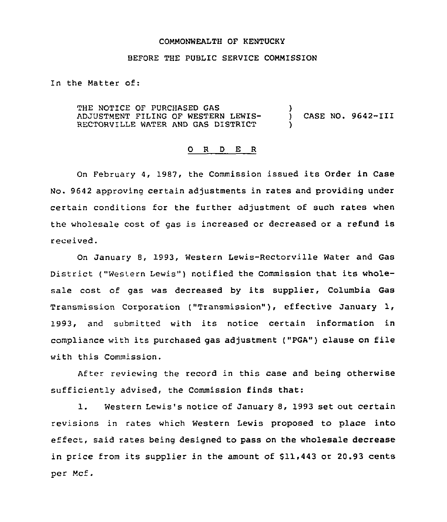#### COMMONWEALTH QF KENTUCKY

# BEFORE THE PUBLIC SERVICE COMMISSION

In the Matter of:

THE NOTICE OF PURCHASED GAS ADJUSTMENT FILING OF WESTERN LEWIS-RECTORVILLE WATER AND GAS DISTRICT ) ) CASE NO. 9642-III )

#### 0 <sup>R</sup> <sup>D</sup> E R

On February 4, 1987, the Commission issued its Order in Case No. 9642 approving certain adjustments in rates and providing under certain conditions for the further adjustment of such rates when the wholesale cost of gas is increased or decreased or a refund is received.

On January 8, 1993, Western Lewis-Rectorville Water and Gas District ("Western Lewis") notified the Commission that its wholesale cost of gas was decreased by its supplier, Columbia Gas Transmission corporation ("Transmission" ), effective January 1, 1993, and submitted with its notice certain information in compliance with its purchased gas adjustment ("PGA") clause on file with this Commission.

After reviewing the record in this case and being otherwise sufficiently advised, the Commission finds that:

1. Western Lewis's notice of January 8, 1993 set out certain revisions in rates which Western Lewis proposed to place into effect, said rates being designed to pass on the wholesale decrease in price from its supplier in the amount of \$11,443 or 20.93 cents per Mcf.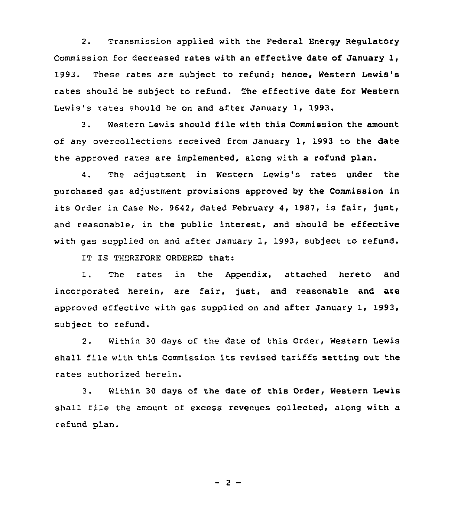2. Transmission applied with the Federal Energy Regulatory Commission for decreased rates with an effective date of January 1, 1993. These rates are subject to refund; hence, Western Lewis's rates should be subject to refund. The effective date for Western Lewis's rates should be on and after January 1, 1993.

3. Western Lewis should file with this Commission the amount of any overcollections received from January 1, 1993 to the date the approved rates are implemented, along with a refund plan.

4. The adjustment in Western Lewis's rates under the purchased gas adjustment provisions approved by the Commission in its Order in Case No. 9642, dated February 4, 1987, is fair, just, and reasonable, in the public interest, and should be effective with gas supplied on and after January 1, 1993, subject to refund.

IT IS THEREFORE ORDERED that:

1. The rates in the Appendix, attached hereto and incorporated herein, are fair, just, and reasonable and are approved effective with gas supplied on and after January 1, 1993, subject to refund.

2. Within 30 days of the date of this Order, Western Lewis shall file with this Commission its revised tariffs setting out the rates authorized herein.

3. Within 30 days of the date of this Order, Western Lewis shall file the amount of excess revenues collected, along with a refund plan.

 $-2-$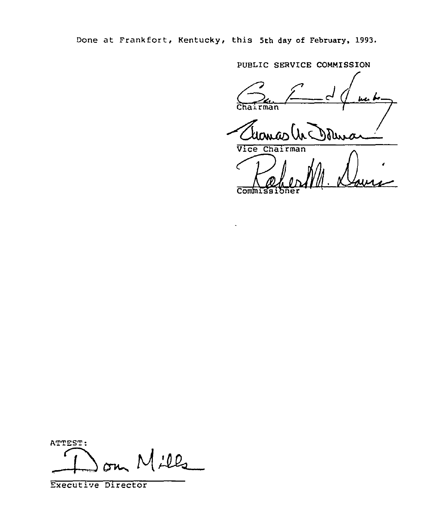Done at Frankfort, Kentucky, this 5th day of February, 1993.

PUBLIC SERVICE COMMISSION  $G_{\text{chairman}}$   $\leftarrow$  d jia bo Transaction

Commissioner 1

ATTEST:  $Mill_2$ 

Executive Director